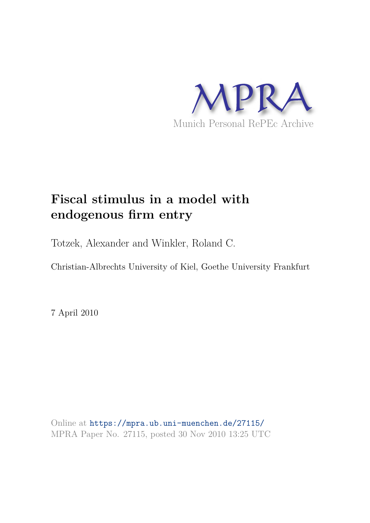

# **Fiscal stimulus in a model with endogenous firm entry**

Totzek, Alexander and Winkler, Roland C.

Christian-Albrechts University of Kiel, Goethe University Frankfurt

7 April 2010

Online at https://mpra.ub.uni-muenchen.de/27115/ MPRA Paper No. 27115, posted 30 Nov 2010 13:25 UTC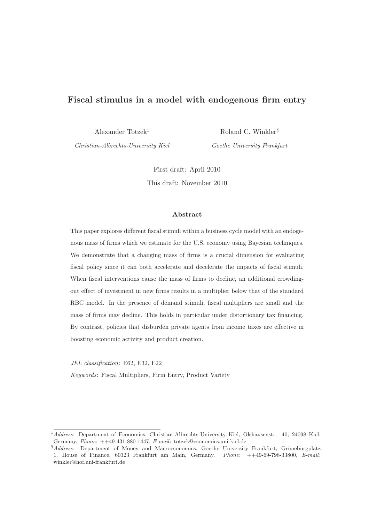# Fiscal stimulus in a model with endogenous firm entry

Alexander Totzek‡

Christian-Albrechts-University Kiel

Roland C. Winkler§ Goethe University Frankfurt

First draft: April 2010 This draft: November 2010

#### Abstract

This paper explores different fiscal stimuli within a business cycle model with an endogenous mass of firms which we estimate for the U.S. economy using Bayesian techniques. We demonstrate that a changing mass of firms is a crucial dimension for evaluating fiscal policy since it can both accelerate and decelerate the impacts of fiscal stimuli. When fiscal interventions cause the mass of firms to decline, an additional crowdingout effect of investment in new firms results in a multiplier below that of the standard RBC model. In the presence of demand stimuli, fiscal multipliers are small and the mass of firms may decline. This holds in particular under distortionary tax financing. By contrast, policies that disburden private agents from income taxes are effective in boosting economic activity and product creation.

JEL classification: E62, E32, E22

Keywords: Fiscal Multipliers, Firm Entry, Product Variety

<sup>‡</sup>Address: Department of Economics, Christian-Albrechts-University Kiel, Olshausenstr. 40, 24098 Kiel, Germany. Phone: ++49-431-880-1447, E-mail: totzek@economics.uni-kiel.de

 $§$ Address: Department of Money and Macroeconomics, Goethe University Frankfurt, Grüneburgplatz 1, House of Finance, 60323 Frankfurt am Main, Germany. Phone: ++49-69-798-33800, E-mail: winkler@hof.uni-frankfurt.de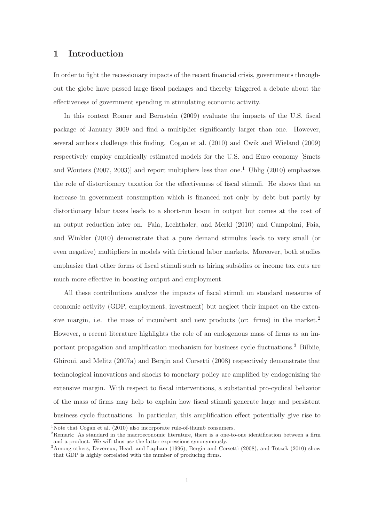# 1 Introduction

In order to fight the recessionary impacts of the recent financial crisis, governments throughout the globe have passed large fiscal packages and thereby triggered a debate about the effectiveness of government spending in stimulating economic activity.

In this context Romer and Bernstein (2009) evaluate the impacts of the U.S. fiscal package of January 2009 and find a multiplier significantly larger than one. However, several authors challenge this finding. Cogan et al. (2010) and Cwik and Wieland (2009) respectively employ empirically estimated models for the U.S. and Euro economy [Smets and Wouters  $(2007, 2003)$ ] and report multipliers less than one.<sup>1</sup> Uhlig  $(2010)$  emphasizes the role of distortionary taxation for the effectiveness of fiscal stimuli. He shows that an increase in government consumption which is financed not only by debt but partly by distortionary labor taxes leads to a short-run boom in output but comes at the cost of an output reduction later on. Faia, Lechthaler, and Merkl (2010) and Campolmi, Faia, and Winkler (2010) demonstrate that a pure demand stimulus leads to very small (or even negative) multipliers in models with frictional labor markets. Moreover, both studies emphasize that other forms of fiscal stimuli such as hiring subsidies or income tax cuts are much more effective in boosting output and employment.

All these contributions analyze the impacts of fiscal stimuli on standard measures of economic activity (GDP, employment, investment) but neglect their impact on the extensive margin, i.e. the mass of incumbent and new products (or: firms) in the market.<sup>2</sup> However, a recent literature highlights the role of an endogenous mass of firms as an important propagation and amplification mechanism for business cycle fluctuations.<sup>3</sup> Bilbiie, Ghironi, and Melitz (2007a) and Bergin and Corsetti (2008) respectively demonstrate that technological innovations and shocks to monetary policy are amplified by endogenizing the extensive margin. With respect to fiscal interventions, a substantial pro-cyclical behavior of the mass of firms may help to explain how fiscal stimuli generate large and persistent business cycle fluctuations. In particular, this amplification effect potentially give rise to

 $1$ Note that Cogan et al. (2010) also incorporate rule-of-thumb consumers.

<sup>&</sup>lt;sup>2</sup>Remark: As standard in the macroeconomic literature, there is a one-to-one identification between a firm and a product. We will thus use the latter expressions synonymously.

<sup>&</sup>lt;sup>3</sup> Among others, Devereux, Head, and Lapham (1996), Bergin and Corsetti (2008), and Totzek (2010) show that GDP is highly correlated with the number of producing firms.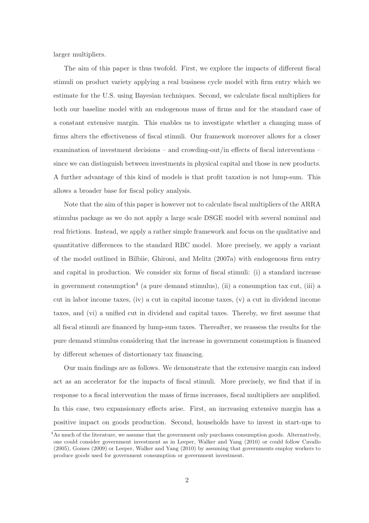larger multipliers.

The aim of this paper is thus twofold. First, we explore the impacts of different fiscal stimuli on product variety applying a real business cycle model with firm entry which we estimate for the U.S. using Bayesian techniques. Second, we calculate fiscal multipliers for both our baseline model with an endogenous mass of firms and for the standard case of a constant extensive margin. This enables us to investigate whether a changing mass of firms alters the effectiveness of fiscal stimuli. Our framework moreover allows for a closer examination of investment decisions – and crowding-out/in effects of fiscal interventions – since we can distinguish between investments in physical capital and those in new products. A further advantage of this kind of models is that profit taxation is not lump-sum. This allows a broader base for fiscal policy analysis.

Note that the aim of this paper is however not to calculate fiscal multipliers of the ARRA stimulus package as we do not apply a large scale DSGE model with several nominal and real frictions. Instead, we apply a rather simple framework and focus on the qualitative and quantitative differences to the standard RBC model. More precisely, we apply a variant of the model outlined in Bilbiie, Ghironi, and Melitz (2007a) with endogenous firm entry and capital in production. We consider six forms of fiscal stimuli: (i) a standard increase in government consumption<sup>4</sup> (a pure demand stimulus), (ii) a consumption tax cut, (iii) a cut in labor income taxes, (iv) a cut in capital income taxes, (v) a cut in dividend income taxes, and (vi) a unified cut in dividend and capital taxes. Thereby, we first assume that all fiscal stimuli are financed by lump-sum taxes. Thereafter, we reassess the results for the pure demand stimulus considering that the increase in government consumption is financed by different schemes of distortionary tax financing.

Our main findings are as follows. We demonstrate that the extensive margin can indeed act as an accelerator for the impacts of fiscal stimuli. More precisely, we find that if in response to a fiscal intervention the mass of firms increases, fiscal multipliers are amplified. In this case, two expansionary effects arise. First, an increasing extensive margin has a positive impact on goods production. Second, households have to invest in start-ups to

<sup>&</sup>lt;sup>4</sup>As much of the literature, we assume that the government only purchases consumption goods. Alternatively, one could consider government investment as in Leeper, Walker and Yang (2010) or could follow Cavallo (2005), Gomes (2009) or Leeper, Walker and Yang (2010) by assuming that governments employ workers to produce goods used for government consumption or government investment.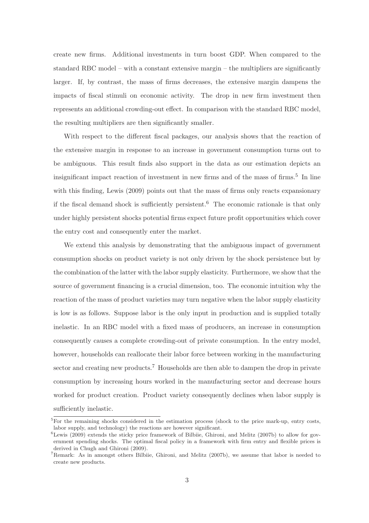create new firms. Additional investments in turn boost GDP. When compared to the standard RBC model – with a constant extensive margin – the multipliers are significantly larger. If, by contrast, the mass of firms decreases, the extensive margin dampens the impacts of fiscal stimuli on economic activity. The drop in new firm investment then represents an additional crowding-out effect. In comparison with the standard RBC model, the resulting multipliers are then significantly smaller.

With respect to the different fiscal packages, our analysis shows that the reaction of the extensive margin in response to an increase in government consumption turns out to be ambiguous. This result finds also support in the data as our estimation depicts an insignificant impact reaction of investment in new firms and of the mass of firms.<sup>5</sup> In line with this finding, Lewis (2009) points out that the mass of firms only reacts expansionary if the fiscal demand shock is sufficiently persistent.<sup>6</sup> The economic rationale is that only under highly persistent shocks potential firms expect future profit opportunities which cover the entry cost and consequently enter the market.

We extend this analysis by demonstrating that the ambiguous impact of government consumption shocks on product variety is not only driven by the shock persistence but by the combination of the latter with the labor supply elasticity. Furthermore, we show that the source of government financing is a crucial dimension, too. The economic intuition why the reaction of the mass of product varieties may turn negative when the labor supply elasticity is low is as follows. Suppose labor is the only input in production and is supplied totally inelastic. In an RBC model with a fixed mass of producers, an increase in consumption consequently causes a complete crowding-out of private consumption. In the entry model, however, households can reallocate their labor force between working in the manufacturing sector and creating new products.<sup>7</sup> Households are then able to dampen the drop in private consumption by increasing hours worked in the manufacturing sector and decrease hours worked for product creation. Product variety consequently declines when labor supply is sufficiently inelastic.

 $5\overline{For the remaining shocks considered in the estimation process (shock to the price mark-up, entry costs,$ labor supply, and technology) the reactions are however significant.

 $6$ Lewis (2009) extends the sticky price framework of Bilbiie, Ghironi, and Melitz (2007b) to allow for government spending shocks. The optimal fiscal policy in a framework with firm entry and flexible prices is derived in Chugh and Ghironi (2009).

<sup>7</sup>Remark: As in amongst others Bilbiie, Ghironi, and Melitz (2007b), we assume that labor is needed to create new products.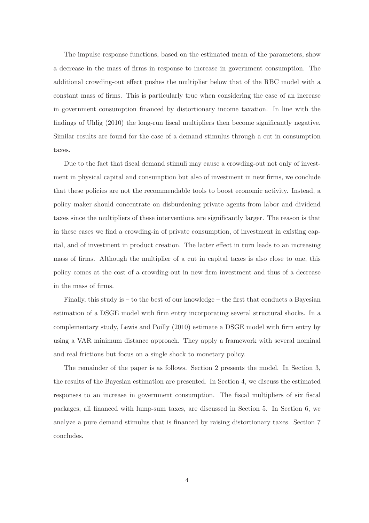The impulse response functions, based on the estimated mean of the parameters, show a decrease in the mass of firms in response to increase in government consumption. The additional crowding-out effect pushes the multiplier below that of the RBC model with a constant mass of firms. This is particularly true when considering the case of an increase in government consumption financed by distortionary income taxation. In line with the findings of Uhlig (2010) the long-run fiscal multipliers then become significantly negative. Similar results are found for the case of a demand stimulus through a cut in consumption taxes.

Due to the fact that fiscal demand stimuli may cause a crowding-out not only of investment in physical capital and consumption but also of investment in new firms, we conclude that these policies are not the recommendable tools to boost economic activity. Instead, a policy maker should concentrate on disburdening private agents from labor and dividend taxes since the multipliers of these interventions are significantly larger. The reason is that in these cases we find a crowding-in of private consumption, of investment in existing capital, and of investment in product creation. The latter effect in turn leads to an increasing mass of firms. Although the multiplier of a cut in capital taxes is also close to one, this policy comes at the cost of a crowding-out in new firm investment and thus of a decrease in the mass of firms.

Finally, this study is  $-$  to the best of our knowledge  $-$  the first that conducts a Bayesian estimation of a DSGE model with firm entry incorporating several structural shocks. In a complementary study, Lewis and Poilly (2010) estimate a DSGE model with firm entry by using a VAR minimum distance approach. They apply a framework with several nominal and real frictions but focus on a single shock to monetary policy.

The remainder of the paper is as follows. Section 2 presents the model. In Section 3, the results of the Bayesian estimation are presented. In Section 4, we discuss the estimated responses to an increase in government consumption. The fiscal multipliers of six fiscal packages, all financed with lump-sum taxes, are discussed in Section 5. In Section 6, we analyze a pure demand stimulus that is financed by raising distortionary taxes. Section 7 concludes.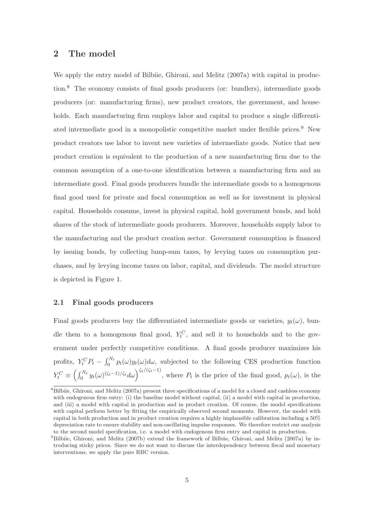## 2 The model

We apply the entry model of Bilbiie, Ghironi, and Melitz (2007a) with capital in production.<sup>8</sup> The economy consists of final goods producers (or: bundlers), intermediate goods producers (or: manufacturing firms), new product creators, the government, and households. Each manufacturing firm employs labor and capital to produce a single differentiated intermediate good in a monopolistic competitive market under flexible prices.<sup>9</sup> New product creators use labor to invent new varieties of intermediate goods. Notice that new product creation is equivalent to the production of a new manufacturing firm due to the common assumption of a one-to-one identification between a manufacturing firm and an intermediate good. Final goods producers bundle the intermediate goods to a homogenous final good used for private and fiscal consumption as well as for investment in physical capital. Households consume, invest in physical capital, hold government bonds, and hold shares of the stock of intermediate goods producers. Moreover, households supply labor to the manufacturing and the product creation sector. Government consumption is financed by issuing bonds, by collecting lump-sum taxes, by levying taxes on consumption purchases, and by levying income taxes on labor, capital, and dividends. The model structure is depicted in Figure 1.

#### 2.1 Final goods producers

Final goods producers buy the differentiated intermediate goods or varieties,  $y_t(\omega)$ , bundle them to a homogenous final good,  $Y_t^C$ , and sell it to households and to the government under perfectly competitive conditions. A final goods producer maximizes his profits,  $Y_t^C P_t - \int_0^{N_t} p_t(\omega) y_t(\omega) d\omega$ , subjected to the following CES production function  $Y_t^C \equiv \left(\int_0^{N_t} y_t(\omega)^{(\zeta_t-1)/\zeta_t} d\omega\right)^{\zeta_t/(\zeta_t-1)},$  where  $P_t$  is the price of the final good,  $p_t(\omega)$ , is the

<sup>&</sup>lt;sup>8</sup>Bilbiie, Ghironi, and Melitz (2007a) present three specifications of a model for a closed and cashless economy with endogenous firm entry: (i) the baseline model without capital, (ii) a model with capital in production, and (iii) a model with capital in production and in product creation. Of course, the model specifications with capital perform better by fitting the empirically observed second moments. However, the model with capital in both production and in product creation requires a highly implausible calibration including a 50% depreciation rate to ensure stability and non-oscillating impulse responses. We therefore restrict our analysis to the second model specification, i.e. a model with endogenous firm entry and capital in production.

<sup>&</sup>lt;sup>9</sup>Bilbiie, Ghironi, and Melitz (2007b) extend the framework of Bilbiie, Ghironi, and Melitz (2007a) by introducing sticky prices. Since we do not want to discuss the interdependency between fiscal and monetary interventions, we apply the pure RBC version.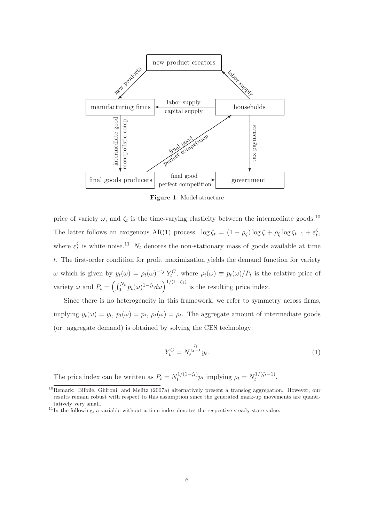

Figure 1: Model structure

price of variety  $\omega$ , and  $\zeta_t$  is the time-varying elasticity between the intermediate goods.<sup>10</sup> The latter follows an exogenous AR(1) process:  $\log \zeta_t = (1 - \rho_{\zeta}) \log \zeta + \rho_{\zeta} \log \zeta_{t-1} + \varepsilon_t^{\zeta}$  $_t^{\varsigma}$ where  $\varepsilon_t^{\zeta}$  $\frac{1}{t}$  is white noise.<sup>11</sup>  $N_t$  denotes the non-stationary mass of goods available at time t. The first-order condition for profit maximization yields the demand function for variety  $ω$  which is given by  $y_t(ω) = ρ_t(ω)^{-ζ_t} Y_t^C$ , where  $ρ_t(ω) ≡ p_t(ω)/P_t$  is the relative price of variety  $\omega$  and  $P_t = \left(\int_0^{N_t} p_t(\omega)^{1-\zeta_t} d\omega\right)^{1/(1-\zeta_t)}$  is the resulting price index.

Since there is no heterogeneity in this framework, we refer to symmetry across firms, implying  $y_t(\omega) = y_t$ ,  $p_t(\omega) = p_t$ ,  $\rho_t(\omega) = \rho_t$ . The aggregate amount of intermediate goods (or: aggregate demand) is obtained by solving the CES technology:

$$
Y_t^C = N_t^{\frac{\zeta_t}{\zeta_t - 1}} y_t. \tag{1}
$$

The price index can be written as  $P_t = N_t^{1/(1-\zeta_t)}$  $t_t^{1/(1-\zeta_t)} p_t$  implying  $\rho_t = N_t^{1/(\zeta_t-1)}$  $t^{1/(5t-1)}.$ 

<sup>10</sup>Remark: Bilbiie, Ghironi, and Melitz (2007a) alternatively present a translog aggregation. However, our results remain robust with respect to this assumption since the generated mark-up movements are quantitatively very small.

 $11$ In the following, a variable without a time index denotes the respective steady state value.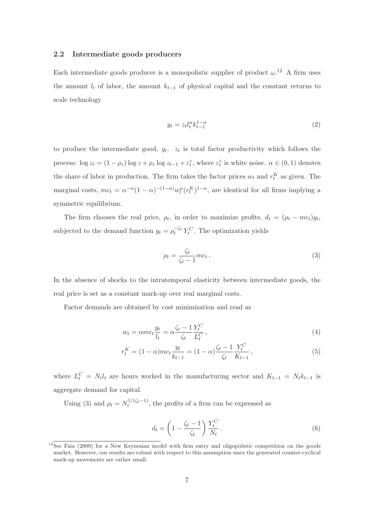#### 2.2 Intermediate goods producers

Each intermediate goods producer is a monopolistic supplier of product  $\omega$ .<sup>12</sup> A firm uses the amount  $l_t$  of labor, the amount  $k_{t-1}$  of physical capital and the constant returns to scale technology

$$
y_t = z_t l_t^{\alpha} k_{t-1}^{1-\alpha} \tag{2}
$$

to produce the intermediate good,  $y_t$ .  $z_t$  is total factor productivity which follows the process:  $\log z_t = (1 - \rho_z) \log z + \rho_z \log z_{t-1} + \varepsilon_t^z$ , where  $\varepsilon_t^z$  is white noise.  $\alpha \in (0, 1)$  denotes the share of labor in production. The firm takes the factor prices  $w_t$  and  $r_t^K$  as given. The marginal costs,  $mc_t = \alpha^{-\alpha} (1-\alpha)^{-(1-\alpha)} w_t^{\alpha} (r_t^K)^{1-\alpha}$ , are identical for all firms implying a symmetric equilibrium.

The firm chooses the real price,  $\rho_t$ , in order to maximize profits,  $d_t = (\rho_t - mc_t)y_t$ , subjected to the demand function  $y_t = \rho_t^{-\zeta_t} Y_t^C$ . The optimization yields

$$
\rho_t = \frac{\zeta_t}{\zeta_t - 1} m c_t \,. \tag{3}
$$

In the absence of shocks to the intratemporal elasticity between intermediate goods, the real price is set as a constant mark-up over real marginal costs.

Factor demands are obtained by cost minimization and read as

$$
w_t = \alpha mc_t \frac{y_t}{l_t} = \alpha \frac{\zeta_t - 1}{\zeta_t} \frac{Y_t^C}{L_t^C},\tag{4}
$$

$$
r_t^K = (1 - \alpha)mc_t \frac{y_t}{k_{t-1}} = (1 - \alpha) \frac{\zeta_t - 1}{\zeta_t} \frac{Y_t^C}{K_{t-1}},
$$
\n(5)

where  $L_t^C = N_t l_t$  are hours worked in the manufacturing sector and  $K_{t-1} = N_t k_{t-1}$  is aggregate demand for capital.

Using (3) and  $\rho_t = N_t^{1/(\zeta_t - 1)}$  $t_t^{(1)}$ , the profits of a firm can be expressed as

$$
d_t = \left(1 - \frac{\zeta_t - 1}{\zeta_t}\right) \frac{Y_t^C}{N_t} \,. \tag{6}
$$

 $12$ See Faia (2009) for a New Keynesian model with firm entry and oligopolistic competition on the goods market. However, our results are robust with respect to this assumption since the generated counter-cyclical mark-up movements are rather small.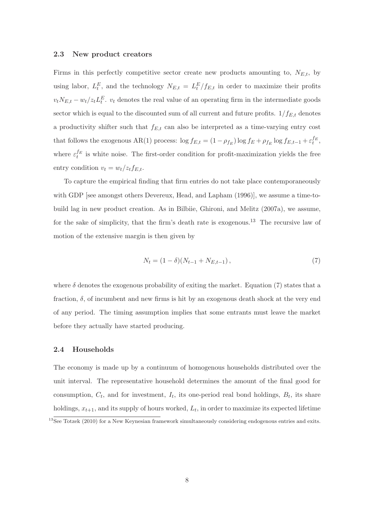#### 2.3 New product creators

Firms in this perfectly competitive sector create new products amounting to,  $N_{E,t}$ , by using labor,  $L_t^E$ , and the technology  $N_{E,t} = L_t^E/f_{E,t}$  in order to maximize their profits  $v_t N_{E,t} - w_t / z_t L_t^E$ ,  $v_t$  denotes the real value of an operating firm in the intermediate goods sector which is equal to the discounted sum of all current and future profits.  $1/f_{E,t}$  denotes a productivity shifter such that  $f_{E,t}$  can also be interpreted as a time-varying entry cost that follows the exogenous AR(1) process:  $\log f_{E,t} = (1 - \rho_{f_E}) \log f_E + \rho_{f_E} \log f_{E,t-1} + \varepsilon_t^{f_E},$ where  $\varepsilon_t^{f_E}$  is white noise. The first-order condition for profit-maximization yields the free entry condition  $v_t = w_t / z_t f_{E,t}$ .

To capture the empirical finding that firm entries do not take place contemporaneously with GDP [see amongst others Devereux, Head, and Lapham (1996)], we assume a time-tobuild lag in new product creation. As in Bilbiie, Ghironi, and Melitz (2007a), we assume, for the sake of simplicity, that the firm's death rate is exogenous.<sup>13</sup> The recursive law of motion of the extensive margin is then given by

$$
N_t = (1 - \delta)(N_{t-1} + N_{E,t-1}),
$$
\n(7)

where  $\delta$  denotes the exogenous probability of exiting the market. Equation (7) states that a fraction,  $\delta$ , of incumbent and new firms is hit by an exogenous death shock at the very end of any period. The timing assumption implies that some entrants must leave the market before they actually have started producing.

### 2.4 Households

The economy is made up by a continuum of homogenous households distributed over the unit interval. The representative household determines the amount of the final good for consumption,  $C_t$ , and for investment,  $I_t$ , its one-period real bond holdings,  $B_t$ , its share holdings,  $x_{t+1}$ , and its supply of hours worked,  $L_t$ , in order to maximize its expected lifetime

 $^{13}$ See Totzek (2010) for a New Keynesian framework simultaneously considering endogenous entries and exits.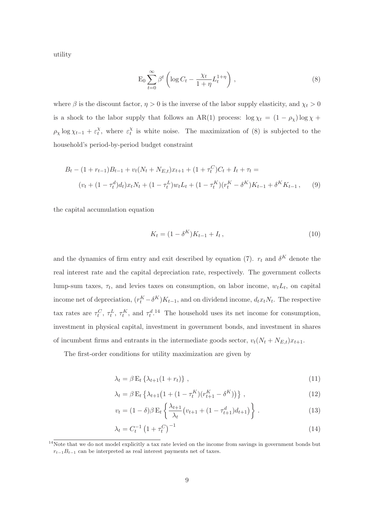utility

$$
\mathcal{E}_0 \sum_{t=0}^{\infty} \beta^t \left( \log C_t - \frac{\chi_t}{1+\eta} L_t^{1+\eta} \right) ,\qquad (8)
$$

where  $\beta$  is the discount factor,  $\eta > 0$  is the inverse of the labor supply elasticity, and  $\chi_t > 0$ is a shock to the labor supply that follows an AR(1) process:  $\log \chi_t = (1 - \rho_\chi) \log \chi +$  $\rho_{\chi} \log \chi_{t-1} + \varepsilon_t^{\chi}$  $\chi_t^{\chi}$ , where  $\varepsilon_t^{\chi}$  $_t^x$  is white noise. The maximization of (8) is subjected to the household's period-by-period budget constraint

$$
B_t - (1 + r_{t-1})B_{t-1} + v_t(N_t + N_{E,t})x_{t+1} + (1 + \tau_t^C)C_t + I_t + \tau_t =
$$
  

$$
(v_t + (1 - \tau_t^d)d_t)x_tN_t + (1 - \tau_t^L)w_tL_t + (1 - \tau_t^K)(r_t^K - \delta^K)K_{t-1} + \delta^K K_{t-1},
$$
 (9)

the capital accumulation equation

$$
K_t = (1 - \delta^K)K_{t-1} + I_t, \qquad (10)
$$

and the dynamics of firm entry and exit described by equation (7).  $r_t$  and  $\delta^K$  denote the real interest rate and the capital depreciation rate, respectively. The government collects lump-sum taxes,  $\tau_t$ , and levies taxes on consumption, on labor income,  $w_t L_t$ , on capital income net of depreciation,  $(r_t^K - \delta^K)K_{t-1}$ , and on dividend income,  $d_tx_tN_t$ . The respective tax rates are  $\tau_t^C$ ,  $\tau_t^L$ ,  $\tau_t^K$ , and  $\tau_t^{d.14}$  The household uses its net income for consumption, investment in physical capital, investment in government bonds, and investment in shares of incumbent firms and entrants in the intermediate goods sector,  $v_t(N_t + N_{E,t})x_{t+1}$ .

The first-order conditions for utility maximization are given by

$$
\lambda_t = \beta \mathbf{E}_t \left\{ \lambda_{t+1} (1 + r_t) \right\},\tag{11}
$$

$$
\lambda_t = \beta \mathbf{E}_t \left\{ \lambda_{t+1} \left( 1 + (1 - \tau_t^K)(r_{t+1}^K - \delta^K) \right) \right\}, \tag{12}
$$

$$
v_t = (1 - \delta)\beta \mathcal{E}_t \left\{ \frac{\lambda_{t+1}}{\lambda_t} \left( v_{t+1} + (1 - \tau_{t+1}^d) d_{t+1} \right) \right\}.
$$
 (13)

$$
\lambda_t = C_t^{-1} \left( 1 + \tau_t^C \right)^{-1} \tag{14}
$$

<sup>&</sup>lt;sup>14</sup>Note that we do not model explicitly a tax rate levied on the income from savings in government bonds but  $r_{t-1}B_{t-1}$  can be interpreted as real interest payments net of taxes.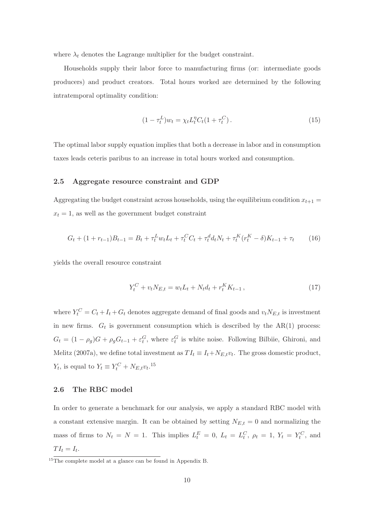where  $\lambda_t$  denotes the Lagrange multiplier for the budget constraint.

Households supply their labor force to manufacturing firms (or: intermediate goods producers) and product creators. Total hours worked are determined by the following intratemporal optimality condition:

$$
(1 - \tau_t^L)w_t = \chi_t L_t^{\eta} C_t (1 + \tau_t^C).
$$
\n(15)

The optimal labor supply equation implies that both a decrease in labor and in consumption taxes leads ceteris paribus to an increase in total hours worked and consumption.

#### 2.5 Aggregate resource constraint and GDP

Aggregating the budget constraint across households, using the equilibrium condition  $x_{t+1} =$  $x_t = 1$ , as well as the government budget constraint

$$
G_t + (1 + r_{t-1})B_{t-1} = B_t + \tau_t^L w_t L_t + \tau_t^C C_t + \tau_t^d d_t N_t + \tau_t^K (r_t^K - \delta) K_{t-1} + \tau_t \tag{16}
$$

yields the overall resource constraint

$$
Y_t^C + v_t N_{E,t} = w_t L_t + N_t d_t + r_t^K K_{t-1},
$$
\n(17)

where  $Y_t^C = C_t + I_t + G_t$  denotes aggregate demand of final goods and  $v_t N_{E,t}$  is investment in new firms.  $G_t$  is government consumption which is described by the AR(1) process:  $G_t = (1 - \rho_g)G + \rho_g G_{t-1} + \varepsilon_t^G$ , where  $\varepsilon_t^G$  is white noise. Following Bilbiie, Ghironi, and Melitz (2007a), we define total investment as  $TI_t \equiv I_t + N_{E,t}v_t$ . The gross domestic product,  $Y_t$ , is equal to  $Y_t \equiv Y_t^C + N_{E,t} v_t$ .<sup>15</sup>

#### 2.6 The RBC model

In order to generate a benchmark for our analysis, we apply a standard RBC model with a constant extensive margin. It can be obtained by setting  $N_{E,t} = 0$  and normalizing the mass of firms to  $N_t = N = 1$ . This implies  $L_t^E = 0$ ,  $L_t = L_t^C$ ,  $\rho_t = 1$ ,  $Y_t = Y_t^C$ , and  $TI_t=I_t.$ 

 $15$ The complete model at a glance can be found in Appendix B.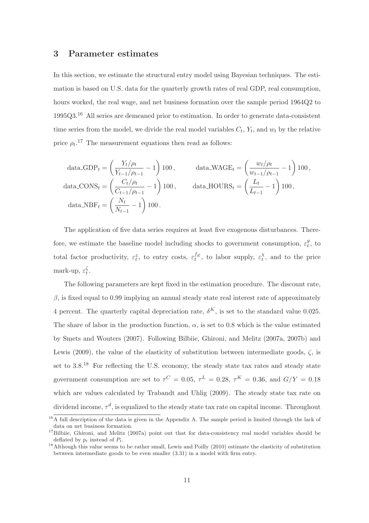## 3 Parameter estimates

In this section, we estimate the structural entry model using Bayesian techniques. The estimation is based on U.S. data for the quarterly growth rates of real GDP, real consumption, hours worked, the real wage, and net business formation over the sample period 1964Q2 to 1995Q3.<sup>16</sup> All series are demeaned prior to estimation. In order to generate data-consistent time series from the model, we divide the real model variables  $C_t$ ,  $Y_t$ , and  $w_t$  by the relative price  $\rho_t$ <sup>17</sup> The measurement equations then read as follows:

$$
\text{data\_GDP}_{t} = \left(\frac{Y_t/\rho_t}{Y_{t-1}/\rho_{t-1}} - 1\right)100, \qquad \text{data\_WAGE}_{t} = \left(\frac{w_t/\rho_t}{w_{t-1}/\rho_{t-1}} - 1\right)100,
$$
\n
$$
\text{data\_CONS}_{t} = \left(\frac{C_t/\rho_t}{C_{t-1}/\rho_{t-1}} - 1\right)100, \qquad \text{data\_HOUSS}_{t} = \left(\frac{L_t}{L_{t-1}} - 1\right)100,
$$
\n
$$
\text{data\_NBF}_{t} = \left(\frac{N_t}{N_{t-1}} - 1\right)100.
$$

The application of five data series requires at least five exogenous disturbances. Therefore, we estimate the baseline model including shocks to government consumption,  $\varepsilon_t^g$  $t^y$ , to total factor productivity,  $\varepsilon_t^z$ , to entry costs,  $\varepsilon_t^{f_E}$ , to labor supply,  $\varepsilon_t^{\chi}$  $_t^{\chi}$ , and to the price mark-up,  $\varepsilon_t^{\zeta}$  $\frac{\varsigma}{t}$ .

The following parameters are kept fixed in the estimation procedure. The discount rate,  $β$ , is fixed equal to 0.99 implying an annual steady state real interest rate of approximately 4 percent. The quarterly capital depreciation rate,  $\delta^{K}$ , is set to the standard value 0.025. The share of labor in the production function,  $\alpha$ , is set to 0.8 which is the value estimated by Smets and Wouters (2007). Following Bilbiie, Ghironi, and Melitz (2007a, 2007b) and Lewis (2009), the value of the elasticity of substitution between intermediate goods,  $\zeta$ , is set to 3.8.<sup>18</sup> For reflecting the U.S. economy, the steady state tax rates and steady state government consumption are set to  $\tau^C = 0.05$ ,  $\tau^L = 0.28$ ,  $\tau^K = 0.36$ , and  $G/Y = 0.18$ which are values calculated by Trabandt and Uhlig (2009). The steady state tax rate on dividend income,  $\tau^d$ , is equalized to the steady state tax rate on capital income. Throughout

 $^{16}$ A full description of the data is given in the Appendix A. The sample period is limited through the lack of data on net business formation.

<sup>&</sup>lt;sup>17</sup>Bilbiie, Ghironi, and Melitz (2007a) point out that for data-consistency real model variables should be deflated by  $p_t$  instead of  $P_t$ .

<sup>&</sup>lt;sup>18</sup>Although this value seems to be rather small, Lewis and Poilly (2010) estimate the elasticity of substitution between intermediate goods to be even smaller (3.31) in a model with firm entry.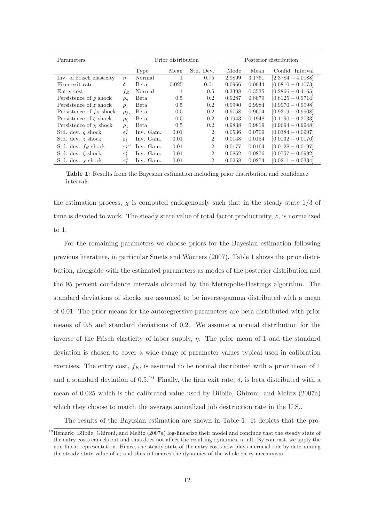| Parameters                   |                             | Prior distribution |       |                | Posterior distribution |        |                     |
|------------------------------|-----------------------------|--------------------|-------|----------------|------------------------|--------|---------------------|
|                              |                             | Type               | Mean  | Std. Dev.      | Mode                   | Mean   | Confid. Interval    |
| Inv. of Frisch elasticity    | $\eta$                      | Normal             |       | 0.75           | 2.9899                 | 3.1761 | $[2.3784 - 4.0188]$ |
| Firm exit rate               | δ                           | Beta               | 0.025 | 0.01           | 0.0966                 | 0.0944 | $[0.0810 - 0.1073]$ |
| Entry cost                   | fв                          | Normal             |       | 0.5            | 0.3398                 | 0.3535 | $[0.2866 - 0.4165]$ |
| Persistence of $q$ shock     | $\rho_q$                    | Beta               | 0.5   | 0.2            | 0.9287                 | 0.8879 | $[0.8125 - 0.9714]$ |
| Persistence of z shock       | $\rho_z$                    | Beta.              | 0.5   | 0.2            | 0.9990                 | 0.9984 | $[0.9970 - 0.9998]$ |
| Persistence of $f_E$ shock   | $\rho_{f_E}$                | Beta               | 0.5   | 0.2            | 0.9758                 | 0.9604 | $[0.9319 - 0.9908]$ |
| Persistence of $\zeta$ shock | $\rho_{\mathcal{C}}$        | Beta               | 0.5   | 0.2            | 0.1943                 | 0.1948 | $[0.1190 - 0.2733]$ |
| Persistence of $\chi$ shock  | $\rho_{\chi}$               | <b>Beta</b>        | 0.5   | 0.2            | 0.9838                 | 0.9819 | $[0.9694 - 0.9948]$ |
| Std. dev. $q$ shock          | $\varepsilon_t^g$           | Inv. Gam.          | 0.01  | $\overline{2}$ | 0.0536                 | 0.0709 | $[0.0384 - 0.0997]$ |
| Std. dev. z shock            | $\varepsilon_t^z$           | Inv. Gam.          | 0.01  | $\overline{2}$ | 0.0148                 | 0.0154 | $[0.0132 - 0.0176]$ |
| Std. dev. $f_E$ shock        | $\varepsilon_{t}^{JE}$      | Inv. Gam.          | 0.01  | $\overline{2}$ | 0.0177                 | 0.0164 | $[0.0128 - 0.0197]$ |
| Std. dev. $\zeta$ shock      | $\varepsilon_t^{\varsigma}$ | Inv. Gam.          | 0.01  | 2              | 0.0852                 | 0.0876 | $[0.0757 - 0.0992]$ |
| Std. dev. $\chi$ shock       | $\varepsilon_{t}^{\chi}$    | Inv. Gam.          | 0.01  | $\overline{2}$ | 0.0258                 | 0.0274 | $[0.0211 - 0.0334]$ |

Table 1: Results from the Bayesian estimation including prior distribution and confidence intervals

the estimation process,  $\chi$  is computed endogenously such that in the steady state  $1/3$  of time is devoted to work. The steady state value of total factor productivity,  $z$ , is normalized to 1.

For the remaining parameters we choose priors for the Bayesian estimation following previous literature, in particular Smets and Wouters (2007). Table 1 shows the prior distribution, alongside with the estimated parameters as modes of the posterior distribution and the 95 percent confidence intervals obtained by the Metropolis-Hastings algorithm. The standard deviations of shocks are assumed to be inverse-gamma distributed with a mean of 0.01. The prior means for the autoregressive parameters are beta distributed with prior means of 0.5 and standard deviations of 0.2. We assume a normal distribution for the inverse of the Frisch elasticity of labor supply,  $\eta$ . The prior mean of 1 and the standard deviation is chosen to cover a wide range of parameter values typical used in calibration exercises. The entry cost,  $f_E$ , is assumed to be normal distributed with a prior mean of 1 and a standard deviation of 0.5.<sup>19</sup> Finally, the firm exit rate,  $\delta$ , is beta distributed with a mean of 0.025 which is the calibrated value used by Bilbiie, Ghironi, and Melitz (2007a) which they choose to match the average annualized job destruction rate in the U.S..

The results of the Bayesian estimation are shown in Table 1. It depicts that the pro-

<sup>&</sup>lt;sup>19</sup>Remark: Bilbiie, Ghironi, and Melitz (2007a) log-linearize their model and conclude that the steady state of the entry costs cancels out and thus does not affect the resulting dynamics, at all. By contrast, we apply the non-linear representation. Hence, the steady state of the entry costs now plays a crucial role by determining the steady state value of  $v_t$  and thus influences the dynamics of the whole entry mechanism.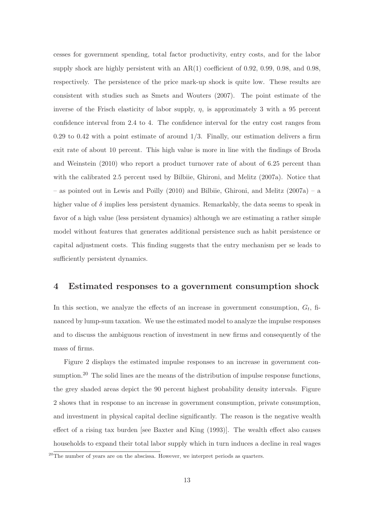cesses for government spending, total factor productivity, entry costs, and for the labor supply shock are highly persistent with an  $AR(1)$  coefficient of 0.92, 0.99, 0.98, and 0.98, respectively. The persistence of the price mark-up shock is quite low. These results are consistent with studies such as Smets and Wouters (2007). The point estimate of the inverse of the Frisch elasticity of labor supply,  $\eta$ , is approximately 3 with a 95 percent confidence interval from 2.4 to 4. The confidence interval for the entry cost ranges from 0.29 to 0.42 with a point estimate of around  $1/3$ . Finally, our estimation delivers a firm exit rate of about 10 percent. This high value is more in line with the findings of Broda and Weinstein (2010) who report a product turnover rate of about of 6.25 percent than with the calibrated 2.5 percent used by Bilbiie, Ghironi, and Melitz (2007a). Notice that – as pointed out in Lewis and Poilly (2010) and Bilbiie, Ghironi, and Melitz (2007a) – a higher value of  $\delta$  implies less persistent dynamics. Remarkably, the data seems to speak in favor of a high value (less persistent dynamics) although we are estimating a rather simple model without features that generates additional persistence such as habit persistence or capital adjustment costs. This finding suggests that the entry mechanism per se leads to sufficiently persistent dynamics.

## 4 Estimated responses to a government consumption shock

In this section, we analyze the effects of an increase in government consumption,  $G_t$ , financed by lump-sum taxation. We use the estimated model to analyze the impulse responses and to discuss the ambiguous reaction of investment in new firms and consequently of the mass of firms.

Figure 2 displays the estimated impulse responses to an increase in government consumption.<sup>20</sup> The solid lines are the means of the distribution of impulse response functions, the grey shaded areas depict the 90 percent highest probability density intervals. Figure 2 shows that in response to an increase in government consumption, private consumption, and investment in physical capital decline significantly. The reason is the negative wealth effect of a rising tax burden [see Baxter and King (1993)]. The wealth effect also causes households to expand their total labor supply which in turn induces a decline in real wages

 $20$ <sup>20</sup>The number of years are on the abscissa. However, we interpret periods as quarters.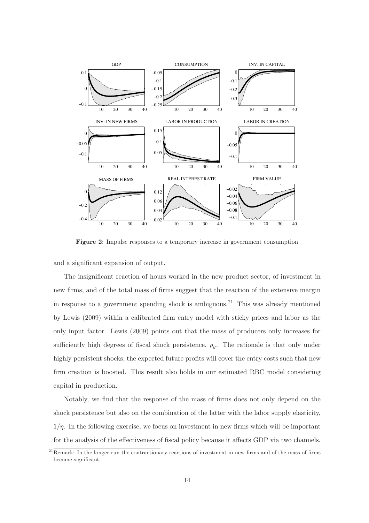

Figure 2: Impulse responses to a temporary increase in government consumption

and a significant expansion of output.

The insignificant reaction of hours worked in the new product sector, of investment in new firms, and of the total mass of firms suggest that the reaction of the extensive margin in response to a government spending shock is ambiguous.<sup>21</sup> This was already mentioned by Lewis (2009) within a calibrated firm entry model with sticky prices and labor as the only input factor. Lewis (2009) points out that the mass of producers only increases for sufficiently high degrees of fiscal shock persistence,  $\rho_q$ . The rationale is that only under highly persistent shocks, the expected future profits will cover the entry costs such that new firm creation is boosted. This result also holds in our estimated RBC model considering capital in production.

Notably, we find that the response of the mass of firms does not only depend on the shock persistence but also on the combination of the latter with the labor supply elasticity,  $1/\eta$ . In the following exercise, we focus on investment in new firms which will be important for the analysis of the effectiveness of fiscal policy because it affects GDP via two channels.

 $^{21}$ Remark: In the longer-run the contractionary reactions of investment in new firms and of the mass of firms become significant.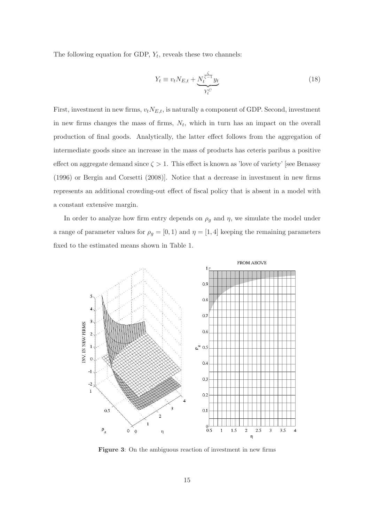The following equation for GDP,  $Y_t$ , reveals these two channels:

$$
Y_t \equiv v_t N_{E,t} + \underbrace{N_t^{\frac{\zeta}{\zeta - 1}} y_t}_{Y_t^C} \tag{18}
$$

First, investment in new firms,  $v_tN_{E,t}$ , is naturally a component of GDP. Second, investment in new firms changes the mass of firms,  $N_t$ , which in turn has an impact on the overall production of final goods. Analytically, the latter effect follows from the aggregation of intermediate goods since an increase in the mass of products has ceteris paribus a positive effect on aggregate demand since  $\zeta > 1$ . This effect is known as 'love of variety' [see Benassy (1996) or Bergin and Corsetti (2008)]. Notice that a decrease in investment in new firms represents an additional crowding-out effect of fiscal policy that is absent in a model with a constant extensive margin.

In order to analyze how firm entry depends on  $\rho_g$  and  $\eta$ , we simulate the model under a range of parameter values for  $\rho_g = [0, 1)$  and  $\eta = [1, 4]$  keeping the remaining parameters fixed to the estimated means shown in Table 1.



Figure 3: On the ambiguous reaction of investment in new firms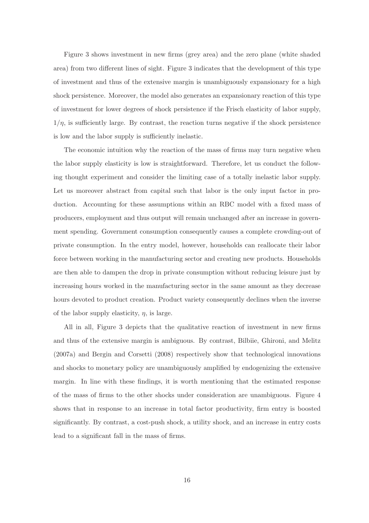Figure 3 shows investment in new firms (grey area) and the zero plane (white shaded area) from two different lines of sight. Figure 3 indicates that the development of this type of investment and thus of the extensive margin is unambiguously expansionary for a high shock persistence. Moreover, the model also generates an expansionary reaction of this type of investment for lower degrees of shock persistence if the Frisch elasticity of labor supply,  $1/\eta$ , is sufficiently large. By contrast, the reaction turns negative if the shock persistence is low and the labor supply is sufficiently inelastic.

The economic intuition why the reaction of the mass of firms may turn negative when the labor supply elasticity is low is straightforward. Therefore, let us conduct the following thought experiment and consider the limiting case of a totally inelastic labor supply. Let us moreover abstract from capital such that labor is the only input factor in production. Accounting for these assumptions within an RBC model with a fixed mass of producers, employment and thus output will remain unchanged after an increase in government spending. Government consumption consequently causes a complete crowding-out of private consumption. In the entry model, however, households can reallocate their labor force between working in the manufacturing sector and creating new products. Households are then able to dampen the drop in private consumption without reducing leisure just by increasing hours worked in the manufacturing sector in the same amount as they decrease hours devoted to product creation. Product variety consequently declines when the inverse of the labor supply elasticity,  $\eta$ , is large.

All in all, Figure 3 depicts that the qualitative reaction of investment in new firms and thus of the extensive margin is ambiguous. By contrast, Bilbiie, Ghironi, and Melitz (2007a) and Bergin and Corsetti (2008) respectively show that technological innovations and shocks to monetary policy are unambiguously amplified by endogenizing the extensive margin. In line with these findings, it is worth mentioning that the estimated response of the mass of firms to the other shocks under consideration are unambiguous. Figure 4 shows that in response to an increase in total factor productivity, firm entry is boosted significantly. By contrast, a cost-push shock, a utility shock, and an increase in entry costs lead to a significant fall in the mass of firms.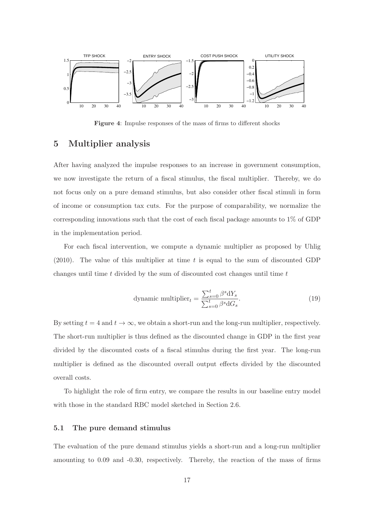

Figure 4: Impulse responses of the mass of firms to different shocks

## 5 Multiplier analysis

After having analyzed the impulse responses to an increase in government consumption, we now investigate the return of a fiscal stimulus, the fiscal multiplier. Thereby, we do not focus only on a pure demand stimulus, but also consider other fiscal stimuli in form of income or consumption tax cuts. For the purpose of comparability, we normalize the corresponding innovations such that the cost of each fiscal package amounts to 1% of GDP in the implementation period.

For each fiscal intervention, we compute a dynamic multiplier as proposed by Uhlig  $(2010)$ . The value of this multiplier at time t is equal to the sum of discounted GDP changes until time  $t$  divided by the sum of discounted cost changes until time  $t$ 

dynamic multiplier<sub>t</sub> = 
$$
\frac{\sum_{s=0}^{t} \beta^{s} dY_{s}}{\sum_{s=0}^{t} \beta^{s} dG_{s}}.
$$
 (19)

By setting  $t = 4$  and  $t \to \infty$ , we obtain a short-run and the long-run multiplier, respectively. The short-run multiplier is thus defined as the discounted change in GDP in the first year divided by the discounted costs of a fiscal stimulus during the first year. The long-run multiplier is defined as the discounted overall output effects divided by the discounted overall costs.

To highlight the role of firm entry, we compare the results in our baseline entry model with those in the standard RBC model sketched in Section 2.6.

#### 5.1 The pure demand stimulus

The evaluation of the pure demand stimulus yields a short-run and a long-run multiplier amounting to 0.09 and -0.30, respectively. Thereby, the reaction of the mass of firms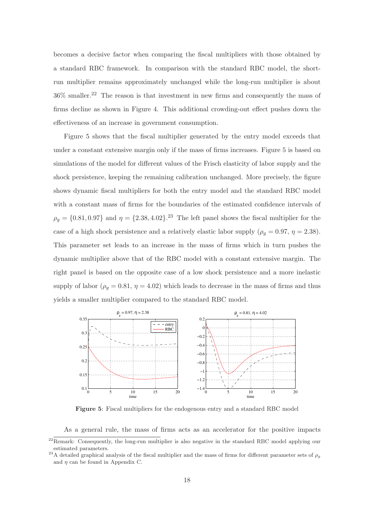becomes a decisive factor when comparing the fiscal multipliers with those obtained by a standard RBC framework. In comparison with the standard RBC model, the shortrun multiplier remains approximately unchanged while the long-run multiplier is about 36% smaller.<sup>22</sup> The reason is that investment in new firms and consequently the mass of firms decline as shown in Figure 4. This additional crowding-out effect pushes down the effectiveness of an increase in government consumption.

Figure 5 shows that the fiscal multiplier generated by the entry model exceeds that under a constant extensive margin only if the mass of firms increases. Figure 5 is based on simulations of the model for different values of the Frisch elasticity of labor supply and the shock persistence, keeping the remaining calibration unchanged. More precisely, the figure shows dynamic fiscal multipliers for both the entry model and the standard RBC model with a constant mass of firms for the boundaries of the estimated confidence intervals of  $\rho_g = \{0.81, 0.97\}$  and  $\eta = \{2.38, 4.02\}$ .<sup>23</sup> The left panel shows the fiscal multiplier for the case of a high shock persistence and a relatively elastic labor supply ( $\rho_g = 0.97$ ,  $\eta = 2.38$ ). This parameter set leads to an increase in the mass of firms which in turn pushes the dynamic multiplier above that of the RBC model with a constant extensive margin. The right panel is based on the opposite case of a low shock persistence and a more inelastic supply of labor ( $\rho_g = 0.81$ ,  $\eta = 4.02$ ) which leads to decrease in the mass of firms and thus yields a smaller multiplier compared to the standard RBC model.



Figure 5: Fiscal multipliers for the endogenous entry and a standard RBC model

As a general rule, the mass of firms acts as an accelerator for the positive impacts

<sup>&</sup>lt;sup>22</sup>Remark: Consequently, the long-run multiplier is also negative in the standard RBC model applying our estimated parameters.

<sup>&</sup>lt;sup>23</sup>A detailed graphical analysis of the fiscal multiplier and the mass of firms for different parameter sets of  $\rho_g$ and  $\eta$  can be found in Appendix C.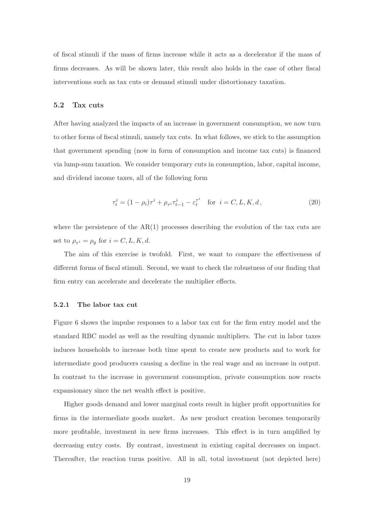of fiscal stimuli if the mass of firms increase while it acts as a decelerator if the mass of firms decreases. As will be shown later, this result also holds in the case of other fiscal interventions such as tax cuts or demand stimuli under distortionary taxation.

#### 5.2 Tax cuts

After having analyzed the impacts of an increase in government consumption, we now turn to other forms of fiscal stimuli, namely tax cuts. In what follows, we stick to the assumption that government spending (now in form of consumption and income tax cuts) is financed via lump-sum taxation. We consider temporary cuts in consumption, labor, capital income, and dividend income taxes, all of the following form

$$
\tau_t^i = (1 - \rho_i)\tau^i + \rho_{\tau^i}\tau_{t-1}^i - \varepsilon_t^{\tau^i} \quad \text{for } i = C, L, K, d,
$$
\n(20)

where the persistence of the  $AR(1)$  processes describing the evolution of the tax cuts are set to  $\rho_{\tau^i} = \rho_g$  for  $i = C, L, K, d$ .

The aim of this exercise is twofold. First, we want to compare the effectiveness of different forms of fiscal stimuli. Second, we want to check the robustness of our finding that firm entry can accelerate and decelerate the multiplier effects.

#### 5.2.1 The labor tax cut

Figure 6 shows the impulse responses to a labor tax cut for the firm entry model and the standard RBC model as well as the resulting dynamic multipliers. The cut in labor taxes induces households to increase both time spent to create new products and to work for intermediate good producers causing a decline in the real wage and an increase in output. In contrast to the increase in government consumption, private consumption now reacts expansionary since the net wealth effect is positive.

Higher goods demand and lower marginal costs result in higher profit opportunities for firms in the intermediate goods market. As new product creation becomes temporarily more profitable, investment in new firms increases. This effect is in turn amplified by decreasing entry costs. By contrast, investment in existing capital decreases on impact. Thereafter, the reaction turns positive. All in all, total investment (not depicted here)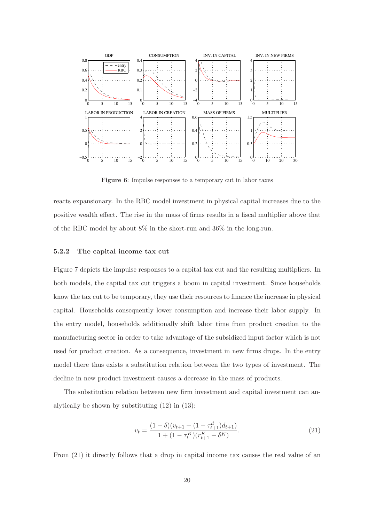

Figure 6: Impulse responses to a temporary cut in labor taxes

reacts expansionary. In the RBC model investment in physical capital increases due to the positive wealth effect. The rise in the mass of firms results in a fiscal multiplier above that of the RBC model by about 8% in the short-run and 36% in the long-run.

#### 5.2.2 The capital income tax cut

Figure 7 depicts the impulse responses to a capital tax cut and the resulting multipliers. In both models, the capital tax cut triggers a boom in capital investment. Since households know the tax cut to be temporary, they use their resources to finance the increase in physical capital. Households consequently lower consumption and increase their labor supply. In the entry model, households additionally shift labor time from product creation to the manufacturing sector in order to take advantage of the subsidized input factor which is not used for product creation. As a consequence, investment in new firms drops. In the entry model there thus exists a substitution relation between the two types of investment. The decline in new product investment causes a decrease in the mass of products.

The substitution relation between new firm investment and capital investment can analytically be shown by substituting (12) in (13):

$$
v_t = \frac{(1 - \delta)(v_{t+1} + (1 - \tau_{t+1}^d)d_{t+1})}{1 + (1 - \tau_t^K)(r_{t+1}^K - \delta^K)}.
$$
\n(21)

From (21) it directly follows that a drop in capital income tax causes the real value of an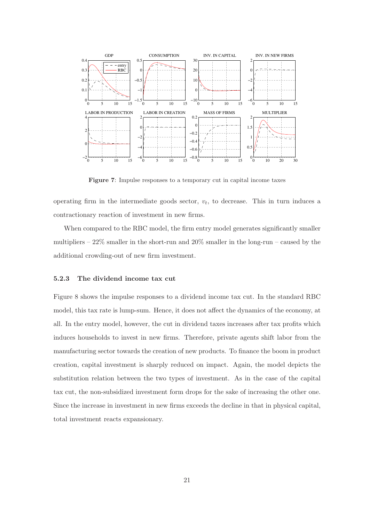

Figure 7: Impulse responses to a temporary cut in capital income taxes

operating firm in the intermediate goods sector,  $v_t$ , to decrease. This in turn induces a contractionary reaction of investment in new firms.

When compared to the RBC model, the firm entry model generates significantly smaller multipliers –  $22\%$  smaller in the short-run and  $20\%$  smaller in the long-run – caused by the additional crowding-out of new firm investment.

#### 5.2.3 The dividend income tax cut

Figure 8 shows the impulse responses to a dividend income tax cut. In the standard RBC model, this tax rate is lump-sum. Hence, it does not affect the dynamics of the economy, at all. In the entry model, however, the cut in dividend taxes increases after tax profits which induces households to invest in new firms. Therefore, private agents shift labor from the manufacturing sector towards the creation of new products. To finance the boom in product creation, capital investment is sharply reduced on impact. Again, the model depicts the substitution relation between the two types of investment. As in the case of the capital tax cut, the non-subsidized investment form drops for the sake of increasing the other one. Since the increase in investment in new firms exceeds the decline in that in physical capital, total investment reacts expansionary.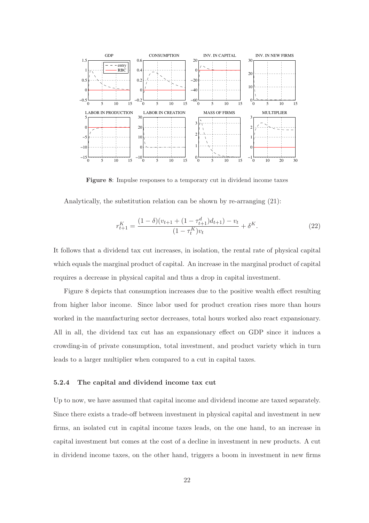

Figure 8: Impulse responses to a temporary cut in dividend income taxes

Analytically, the substitution relation can be shown by re-arranging (21):

$$
r_{t+1}^{K} = \frac{(1 - \delta)(v_{t+1} + (1 - \tau_{t+1}^{d})d_{t+1}) - v_t}{(1 - \tau_t^{K})v_t} + \delta^{K}.
$$
\n(22)

It follows that a dividend tax cut increases, in isolation, the rental rate of physical capital which equals the marginal product of capital. An increase in the marginal product of capital requires a decrease in physical capital and thus a drop in capital investment.

Figure 8 depicts that consumption increases due to the positive wealth effect resulting from higher labor income. Since labor used for product creation rises more than hours worked in the manufacturing sector decreases, total hours worked also react expansionary. All in all, the dividend tax cut has an expansionary effect on GDP since it induces a crowding-in of private consumption, total investment, and product variety which in turn leads to a larger multiplier when compared to a cut in capital taxes.

#### 5.2.4 The capital and dividend income tax cut

Up to now, we have assumed that capital income and dividend income are taxed separately. Since there exists a trade-off between investment in physical capital and investment in new firms, an isolated cut in capital income taxes leads, on the one hand, to an increase in capital investment but comes at the cost of a decline in investment in new products. A cut in dividend income taxes, on the other hand, triggers a boom in investment in new firms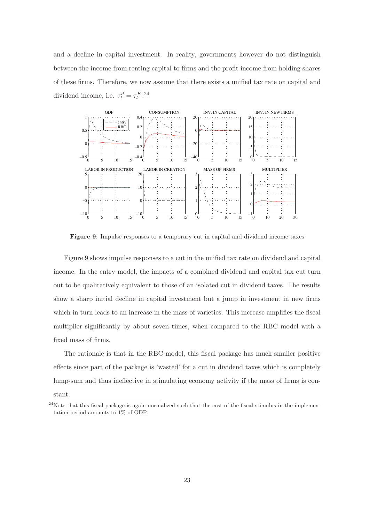and a decline in capital investment. In reality, governments however do not distinguish between the income from renting capital to firms and the profit income from holding shares of these firms. Therefore, we now assume that there exists a unified tax rate on capital and dividend income, i.e.  $\tau_t^d = \tau_t^{K.24}$ 



Figure 9: Impulse responses to a temporary cut in capital and dividend income taxes

Figure 9 shows impulse responses to a cut in the unified tax rate on dividend and capital income. In the entry model, the impacts of a combined dividend and capital tax cut turn out to be qualitatively equivalent to those of an isolated cut in dividend taxes. The results show a sharp initial decline in capital investment but a jump in investment in new firms which in turn leads to an increase in the mass of varieties. This increase amplifies the fiscal multiplier significantly by about seven times, when compared to the RBC model with a fixed mass of firms.

The rationale is that in the RBC model, this fiscal package has much smaller positive effects since part of the package is 'wasted' for a cut in dividend taxes which is completely lump-sum and thus ineffective in stimulating economy activity if the mass of firms is con-

stant.

<sup>&</sup>lt;sup>24</sup>Note that this fiscal package is again normalized such that the cost of the fiscal stimulus in the implementation period amounts to 1% of GDP.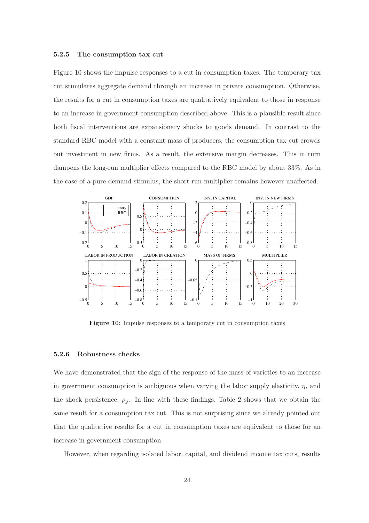#### 5.2.5 The consumption tax cut

Figure 10 shows the impulse responses to a cut in consumption taxes. The temporary tax cut stimulates aggregate demand through an increase in private consumption. Otherwise, the results for a cut in consumption taxes are qualitatively equivalent to those in response to an increase in government consumption described above. This is a plausible result since both fiscal interventions are expansionary shocks to goods demand. In contrast to the standard RBC model with a constant mass of producers, the consumption tax cut crowds out investment in new firms. As a result, the extensive margin decreases. This in turn dampens the long-run multiplier effects compared to the RBC model by about 33%. As in the case of a pure demand stimulus, the short-run multiplier remains however unaffected.



Figure 10: Impulse responses to a temporary cut in consumption taxes

#### 5.2.6 Robustness checks

We have demonstrated that the sign of the response of the mass of varieties to an increase in government consumption is ambiguous when varying the labor supply elasticity,  $\eta$ , and the shock persistence,  $\rho_g$ . In line with these findings, Table 2 shows that we obtain the same result for a consumption tax cut. This is not surprising since we already pointed out that the qualitative results for a cut in consumption taxes are equivalent to those for an increase in government consumption.

However, when regarding isolated labor, capital, and dividend income tax cuts, results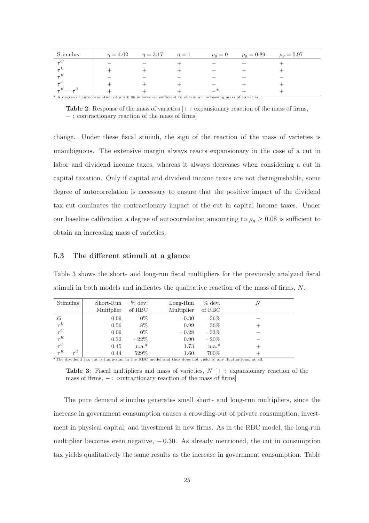| Stimulus                                                                                                        | $n = 4.02$ | $n = 3.17$ | $\eta=1$ |  | $\rho_g = 0$ $\rho_g = 0.89$ | $\rho_g = 0.97$ |
|-----------------------------------------------------------------------------------------------------------------|------------|------------|----------|--|------------------------------|-----------------|
|                                                                                                                 |            |            |          |  |                              |                 |
|                                                                                                                 |            |            |          |  |                              |                 |
|                                                                                                                 |            |            |          |  |                              |                 |
|                                                                                                                 |            |            |          |  |                              |                 |
| $\tau^K = \tau^d$                                                                                               |            |            |          |  |                              |                 |
| * A degree of autocorrelation of $\rho > 0.08$ is however sufficient to obtain an increasing mass of varieties. |            |            |          |  |                              |                 |

Table 2: Response of the mass of varieties [+ : expansionary reaction of the mass of firms, − : contractionary reaction of the mass of firms]

change. Under these fiscal stimuli, the sign of the reaction of the mass of varieties is unambiguous. The extensive margin always reacts expansionary in the case of a cut in labor and dividend income taxes, whereas it always decreases when considering a cut in capital taxation. Only if capital and dividend income taxes are not distinguishable, some degree of autocorrelation is necessary to ensure that the positive impact of the dividend tax cut dominates the contractionary impact of the cut in capital income taxes. Under our baseline calibration a degree of autocorrelation amounting to  $\rho_g \geq 0.08$  is sufficient to obtain an increasing mass of varieties.

### 5.3 The different stimuli at a glance

Table 3 shows the short- and long-run fiscal multipliers for the previously analyzed fiscal stimuli in both models and indicates the qualitative reaction of the mass of firms, N.

| Stimulus          | Short-Run  | $\%$ dev.    | $Long-Run$ | $\%$ dev. | N |
|-------------------|------------|--------------|------------|-----------|---|
|                   | Multiplier | of RBC       | Multiplier | of RBC    |   |
| G                 | 0.09       | $0\%$        | $-0.30$    | $-36\%$   |   |
| $\tau^L$          | 0.56       | 8%           | 0.99       | $36\%$    |   |
| $\tau^C$          | 0.09       | $0\%$        | $-0.28$    | $-33%$    |   |
| $\tau^K$          | 0.32       | $-22\%$      | 0.90       | $-20\%$   |   |
| $\tau^d$          | 0.45       | $n.a.*$      | 1.73       | $n.a.*$   |   |
| $\tau^K = \tau^d$ | 0.44       | 529\%<br>___ | 1.60<br>.  | 700\%     |   |

\*The dividend tax cut is lump-sum in the RBC model and thus does not yield to any fluctuations, at all.

**Table 3:** Fiscal multipliers and mass of varieties,  $N \neq$ : expansionary reaction of the mass of firms, − : contractionary reaction of the mass of firms

The pure demand stimulus generates small short- and long-run multipliers, since the increase in government consumption causes a crowding-out of private consumption, investment in physical capital, and investment in new firms. As in the RBC model, the long-run multiplier becomes even negative,  $-0.30$ . As already mentioned, the cut in consumption tax yields qualitatively the same results as the increase in government consumption. Table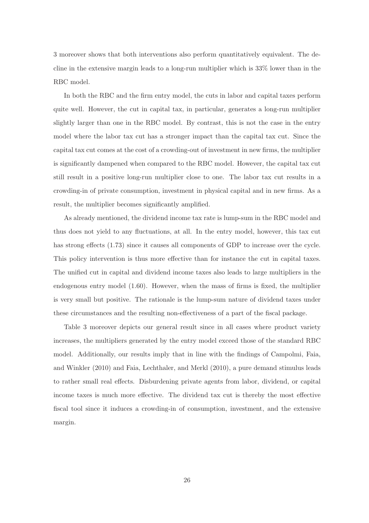3 moreover shows that both interventions also perform quantitatively equivalent. The decline in the extensive margin leads to a long-run multiplier which is 33% lower than in the RBC model.

In both the RBC and the firm entry model, the cuts in labor and capital taxes perform quite well. However, the cut in capital tax, in particular, generates a long-run multiplier slightly larger than one in the RBC model. By contrast, this is not the case in the entry model where the labor tax cut has a stronger impact than the capital tax cut. Since the capital tax cut comes at the cost of a crowding-out of investment in new firms, the multiplier is significantly dampened when compared to the RBC model. However, the capital tax cut still result in a positive long-run multiplier close to one. The labor tax cut results in a crowding-in of private consumption, investment in physical capital and in new firms. As a result, the multiplier becomes significantly amplified.

As already mentioned, the dividend income tax rate is lump-sum in the RBC model and thus does not yield to any fluctuations, at all. In the entry model, however, this tax cut has strong effects (1.73) since it causes all components of GDP to increase over the cycle. This policy intervention is thus more effective than for instance the cut in capital taxes. The unified cut in capital and dividend income taxes also leads to large multipliers in the endogenous entry model (1.60). However, when the mass of firms is fixed, the multiplier is very small but positive. The rationale is the lump-sum nature of dividend taxes under these circumstances and the resulting non-effectiveness of a part of the fiscal package.

Table 3 moreover depicts our general result since in all cases where product variety increases, the multipliers generated by the entry model exceed those of the standard RBC model. Additionally, our results imply that in line with the findings of Campolmi, Faia, and Winkler (2010) and Faia, Lechthaler, and Merkl (2010), a pure demand stimulus leads to rather small real effects. Disburdening private agents from labor, dividend, or capital income taxes is much more effective. The dividend tax cut is thereby the most effective fiscal tool since it induces a crowding-in of consumption, investment, and the extensive margin.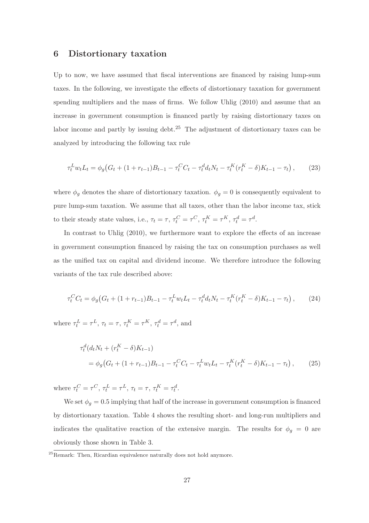## 6 Distortionary taxation

Up to now, we have assumed that fiscal interventions are financed by raising lump-sum taxes. In the following, we investigate the effects of distortionary taxation for government spending multipliers and the mass of firms. We follow Uhlig (2010) and assume that an increase in government consumption is financed partly by raising distortionary taxes on labor income and partly by issuing debt. $25$  The adjustment of distortionary taxes can be analyzed by introducing the following tax rule

$$
\tau_t^L w_t L_t = \phi_g \big( G_t + (1 + r_{t-1}) B_{t-1} - \tau_t^C C_t - \tau_t^d d_t N_t - \tau_t^K (r_t^K - \delta) K_{t-1} - \tau_t \big) ,\tag{23}
$$

where  $\phi_g$  denotes the share of distortionary taxation.  $\phi_g = 0$  is consequently equivalent to pure lump-sum taxation. We assume that all taxes, other than the labor income tax, stick to their steady state values, i.e.,  $\tau_t = \tau$ ,  $\tau_t^C = \tau^C$ ,  $\tau_t^K = \tau^K$ ,  $\tau_t^d = \tau^d$ .

In contrast to Uhlig (2010), we furthermore want to explore the effects of an increase in government consumption financed by raising the tax on consumption purchases as well as the unified tax on capital and dividend income. We therefore introduce the following variants of the tax rule described above:

$$
\tau_t^C C_t = \phi_g \big( G_t + (1 + r_{t-1}) B_{t-1} - \tau_t^L w_t L_t - \tau_t^d d_t N_t - \tau_t^K (r_t^K - \delta) K_{t-1} - \tau_t \big), \tag{24}
$$

where  $\tau_t^L = \tau^L$ ,  $\tau_t = \tau$ ,  $\tau_t^K = \tau^K$ ,  $\tau_t^d = \tau^d$ , and

$$
\tau_t^d(d_t N_t + (r_t^K - \delta)K_{t-1})
$$
  
=  $\phi_g(G_t + (1 + r_{t-1})B_{t-1} - \tau_t^C C_t - \tau_t^L w_t L_t - \tau_t^K (r_t^K - \delta)K_{t-1} - \tau_t),$  (25)

where  $\tau_t^C = \tau^C$ ,  $\tau_t^L = \tau^L$ ,  $\tau_t = \tau$ ,  $\tau_t^K = \tau_t^d$ .

We set  $\phi_g = 0.5$  implying that half of the increase in government consumption is financed by distortionary taxation. Table 4 shows the resulting short- and long-run multipliers and indicates the qualitative reaction of the extensive margin. The results for  $\phi_g = 0$  are obviously those shown in Table 3.

<sup>25</sup>Remark: Then, Ricardian equivalence naturally does not hold anymore.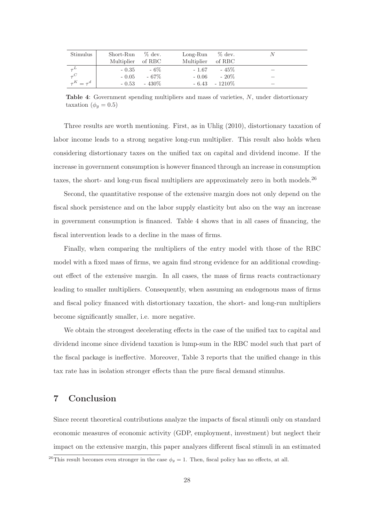| Stimulus          | Short-Run         | $\%$ dev. | $Long-Run$ | $\%$ dev. | N                        |
|-------------------|-------------------|-----------|------------|-----------|--------------------------|
|                   | Multiplier of RBC |           | Multiplier | of RBC    |                          |
|                   | $-0.35$           | $-6\%$    | $-1.67$    | $-45%$    | $\overline{\phantom{a}}$ |
|                   | $-0.05$           | $-67\%$   | $-0.06$    | $-20\%$   | $\overline{\phantom{a}}$ |
| $\tau^K = \tau^d$ | $-0.53$           | $-430\%$  | $-6.43$    | $-1210\%$ | $\overline{\phantom{a}}$ |

Table 4: Government spending multipliers and mass of varieties, N, under distortionary taxation ( $\phi_q = 0.5$ )

Three results are worth mentioning. First, as in Uhlig (2010), distortionary taxation of labor income leads to a strong negative long-run multiplier. This result also holds when considering distortionary taxes on the unified tax on capital and dividend income. If the increase in government consumption is however financed through an increase in consumption taxes, the short- and long-run fiscal multipliers are approximately zero in both models.<sup>26</sup>

Second, the quantitative response of the extensive margin does not only depend on the fiscal shock persistence and on the labor supply elasticity but also on the way an increase in government consumption is financed. Table 4 shows that in all cases of financing, the fiscal intervention leads to a decline in the mass of firms.

Finally, when comparing the multipliers of the entry model with those of the RBC model with a fixed mass of firms, we again find strong evidence for an additional crowdingout effect of the extensive margin. In all cases, the mass of firms reacts contractionary leading to smaller multipliers. Consequently, when assuming an endogenous mass of firms and fiscal policy financed with distortionary taxation, the short- and long-run multipliers become significantly smaller, i.e. more negative.

We obtain the strongest decelerating effects in the case of the unified tax to capital and dividend income since dividend taxation is lump-sum in the RBC model such that part of the fiscal package is ineffective. Moreover, Table 3 reports that the unified change in this tax rate has in isolation stronger effects than the pure fiscal demand stimulus.

# 7 Conclusion

Since recent theoretical contributions analyze the impacts of fiscal stimuli only on standard economic measures of economic activity (GDP, employment, investment) but neglect their impact on the extensive margin, this paper analyzes different fiscal stimuli in an estimated

<sup>&</sup>lt;sup>26</sup>This result becomes even stronger in the case  $\phi_g = 1$ . Then, fiscal policy has no effects, at all.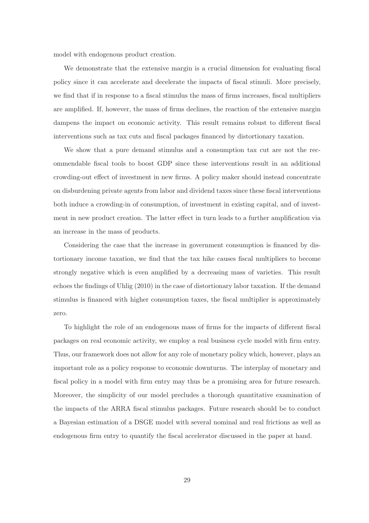model with endogenous product creation.

We demonstrate that the extensive margin is a crucial dimension for evaluating fiscal policy since it can accelerate and decelerate the impacts of fiscal stimuli. More precisely, we find that if in response to a fiscal stimulus the mass of firms increases, fiscal multipliers are amplified. If, however, the mass of firms declines, the reaction of the extensive margin dampens the impact on economic activity. This result remains robust to different fiscal interventions such as tax cuts and fiscal packages financed by distortionary taxation.

We show that a pure demand stimulus and a consumption tax cut are not the recommendable fiscal tools to boost GDP since these interventions result in an additional crowding-out effect of investment in new firms. A policy maker should instead concentrate on disburdening private agents from labor and dividend taxes since these fiscal interventions both induce a crowding-in of consumption, of investment in existing capital, and of investment in new product creation. The latter effect in turn leads to a further amplification via an increase in the mass of products.

Considering the case that the increase in government consumption is financed by distortionary income taxation, we find that the tax hike causes fiscal multipliers to become strongly negative which is even amplified by a decreasing mass of varieties. This result echoes the findings of Uhlig (2010) in the case of distortionary labor taxation. If the demand stimulus is financed with higher consumption taxes, the fiscal multiplier is approximately zero.

To highlight the role of an endogenous mass of firms for the impacts of different fiscal packages on real economic activity, we employ a real business cycle model with firm entry. Thus, our framework does not allow for any role of monetary policy which, however, plays an important role as a policy response to economic downturns. The interplay of monetary and fiscal policy in a model with firm entry may thus be a promising area for future research. Moreover, the simplicity of our model precludes a thorough quantitative examination of the impacts of the ARRA fiscal stimulus packages. Future research should be to conduct a Bayesian estimation of a DSGE model with several nominal and real frictions as well as endogenous firm entry to quantify the fiscal accelerator discussed in the paper at hand.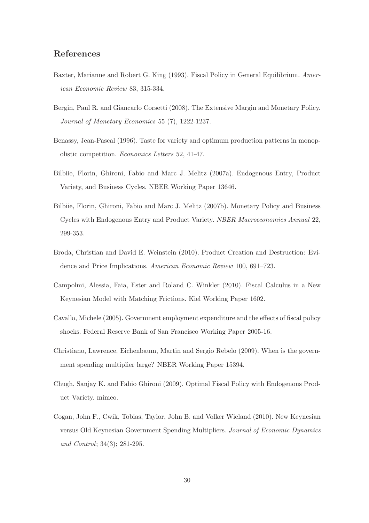# References

- Baxter, Marianne and Robert G. King (1993). Fiscal Policy in General Equilibrium. American Economic Review 83, 315-334.
- Bergin, Paul R. and Giancarlo Corsetti (2008). The Extensive Margin and Monetary Policy. Journal of Monetary Economics 55 (7), 1222-1237.
- Benassy, Jean-Pascal (1996). Taste for variety and optimum production patterns in monopolistic competition. Economics Letters 52, 41-47.
- Bilbiie, Florin, Ghironi, Fabio and Marc J. Melitz (2007a). Endogenous Entry, Product Variety, and Business Cycles. NBER Working Paper 13646.
- Bilbiie, Florin, Ghironi, Fabio and Marc J. Melitz (2007b). Monetary Policy and Business Cycles with Endogenous Entry and Product Variety. NBER Macroeconomics Annual 22, 299-353.
- Broda, Christian and David E. Weinstein (2010). Product Creation and Destruction: Evidence and Price Implications. American Economic Review 100, 691–723.
- Campolmi, Alessia, Faia, Ester and Roland C. Winkler (2010). Fiscal Calculus in a New Keynesian Model with Matching Frictions. Kiel Working Paper 1602.
- Cavallo, Michele (2005). Government employment expenditure and the effects of fiscal policy shocks. Federal Reserve Bank of San Francisco Working Paper 2005-16.
- Christiano, Lawrence, Eichenbaum, Martin and Sergio Rebelo (2009). When is the government spending multiplier large? NBER Working Paper 15394.
- Chugh, Sanjay K. and Fabio Ghironi (2009). Optimal Fiscal Policy with Endogenous Product Variety. mimeo.
- Cogan, John F., Cwik, Tobias, Taylor, John B. and Volker Wieland (2010). New Keynesian versus Old Keynesian Government Spending Multipliers. Journal of Economic Dynamics and Control; 34(3); 281-295.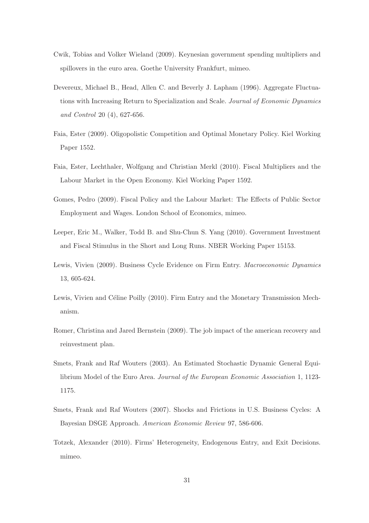- Cwik, Tobias and Volker Wieland (2009). Keynesian government spending multipliers and spillovers in the euro area. Goethe University Frankfurt, mimeo.
- Devereux, Michael B., Head, Allen C. and Beverly J. Lapham (1996). Aggregate Fluctuations with Increasing Return to Specialization and Scale. Journal of Economic Dynamics and Control 20 (4), 627-656.
- Faia, Ester (2009). Oligopolistic Competition and Optimal Monetary Policy. Kiel Working Paper 1552.
- Faia, Ester, Lechthaler, Wolfgang and Christian Merkl (2010). Fiscal Multipliers and the Labour Market in the Open Economy. Kiel Working Paper 1592.
- Gomes, Pedro (2009). Fiscal Policy and the Labour Market: The Effects of Public Sector Employment and Wages. London School of Economics, mimeo.
- Leeper, Eric M., Walker, Todd B. and Shu-Chun S. Yang (2010). Government Investment and Fiscal Stimulus in the Short and Long Runs. NBER Working Paper 15153.
- Lewis, Vivien (2009). Business Cycle Evidence on Firm Entry. Macroeconomic Dynamics 13, 605-624.
- Lewis, Vivien and Céline Poilly (2010). Firm Entry and the Monetary Transmission Mechanism.
- Romer, Christina and Jared Bernstein (2009). The job impact of the american recovery and reinvestment plan.
- Smets, Frank and Raf Wouters (2003). An Estimated Stochastic Dynamic General Equilibrium Model of the Euro Area. Journal of the European Economic Association 1, 1123- 1175.
- Smets, Frank and Raf Wouters (2007). Shocks and Frictions in U.S. Business Cycles: A Bayesian DSGE Approach. American Economic Review 97, 586-606.
- Totzek, Alexander (2010). Firms' Heterogeneity, Endogenous Entry, and Exit Decisions. mimeo.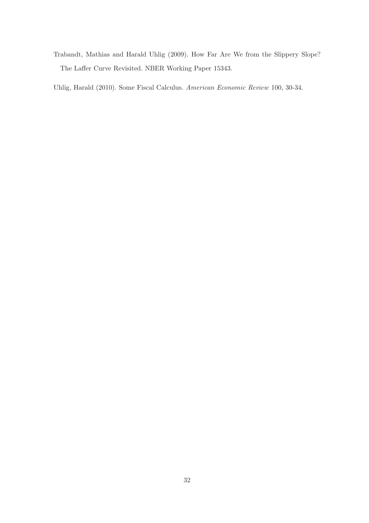Trabandt, Mathias and Harald Uhlig (2009). How Far Are We from the Slippery Slope? The Laffer Curve Revisited. NBER Working Paper 15343.

Uhlig, Harald (2010). Some Fiscal Calculus. American Economic Review 100, 30-34.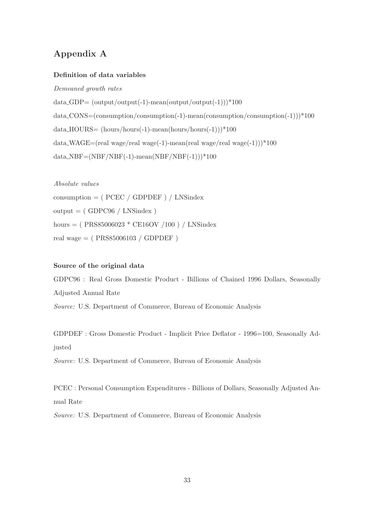# Appendix A

#### Definition of data variables

Demeaned growth rates

 $data\_GDP = (output/output(-1)-mean(output/output(-1))) * 100$ data CONS=(consumption/consumption(-1)-mean(consumption/consumption(-1)))\*100 data HOURS= (hours/hours(-1)-mean(hours/hours(-1)))\*100 data WAGE=(real wage/real wage(-1)-mean(real wage/real wage(-1))) $*100$  $data\_NBF=(NBF/NBF(-1)-mean(NBF/NBF(-1)))*100$ 

Absolute values consumption  $=$  ( PCEC / GDPDEF ) / LNSindex  $output = (GDPC96 / LNSindex)$ hours = ( $PRS85006023 * CE16OV / 100$ ) / LNSindex real wage = ( PRS85006103 / GDPDEF )

#### Source of the original data

GDPC96 : Real Gross Domestic Product - Billions of Chained 1996 Dollars, Seasonally Adjusted Annual Rate Source: U.S. Department of Commerce, Bureau of Economic Analysis

GDPDEF : Gross Domestic Product - Implicit Price Deflator - 1996=100, Seasonally Adjusted

Source: U.S. Department of Commerce, Bureau of Economic Analysis

PCEC : Personal Consumption Expenditures - Billions of Dollars, Seasonally Adjusted Annual Rate

Source: U.S. Department of Commerce, Bureau of Economic Analysis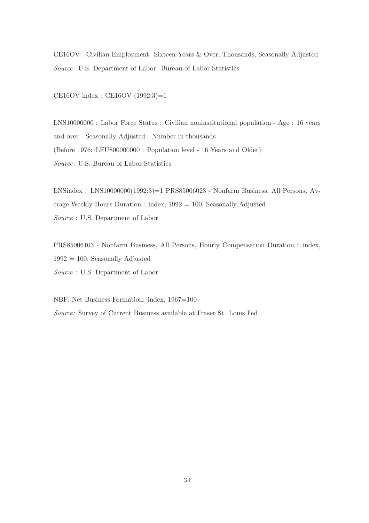CE16OV : Civilian Employment: Sixteen Years & Over, Thousands, Seasonally Adjusted Source: U.S. Department of Labor: Bureau of Labor Statistics

CE16OV index : CE16OV (1992:3)=1

LNS10000000 : Labor Force Status : Civilian noninstitutional population - Age : 16 years and over - Seasonally Adjusted - Number in thousands (Before 1976: LFU800000000 : Population level - 16 Years and Older) Source: U.S. Bureau of Labor Statistics

LNSindex : LNS10000000(1992:3)=1 PRS85006023 - Nonfarm Business, All Persons, Average Weekly Hours Duration : index, 1992 = 100, Seasonally Adjusted Source : U.S. Department of Labor

PRS85006103 - Nonfarm Business, All Persons, Hourly Compensation Duration : index,  $1992 = 100$ , Seasonally Adjusted Source : U.S. Department of Labor

NBF: Net Business Formation: index, 1967=100 Source: Survey of Current Business available at Fraser St. Louis Fed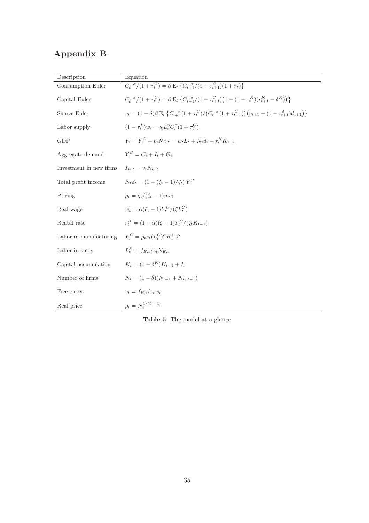# Appendix B

| Description             | Equation                                                                                                                                                         |
|-------------------------|------------------------------------------------------------------------------------------------------------------------------------------------------------------|
| Consumption Euler       | $C_t^{-\sigma}/(1+\tau_t^C) = \beta E_t \left\{ C_{t+1}^{-\sigma}/(1+\tau_{t+1}^C)(1+r_t) \right\}$                                                              |
| Capital Euler           | $C_t^{-\sigma}/(1+\tau_t^C) = \beta \mathop{\rm E{}}\nolimits_t \left\{ C_{t+1}^{-\sigma}/(1+\tau_{t+1}^C)\big(1+(1-\tau_t^K)(r_{t+1}^K-\delta^K)\big) \right\}$ |
| Shares Euler            | $v_t = (1 - \delta)\beta E_t \left\{ C_{t+1}^{-\sigma} (1 + \tau_t^C) / (C_t^{-\sigma} (1 + \tau_{t+1}^C)) (v_{t+1} + (1 - \tau_{t+1}^d) d_{t+1}) \right\}$      |
| Labor supply            | $(1 - \tau_t^L) w_t = \chi L_t^{\eta} C_t^{\sigma} (1 + \tau_t^C)$                                                                                               |
| GDP                     | $Y_t = Y_t^C + v_t N_{E,t} = w_t L_t + N_t d_t + r_t^K K_{t-1}$                                                                                                  |
| Aggregate demand        | $Y_t^C = C_t + I_t + G_t$                                                                                                                                        |
| Investment in new firms | $I_{E,t} = v_t N_{E,t}$                                                                                                                                          |
| Total profit income     | $N_t d_t = (1 - (\zeta_t - 1)/\zeta_t) Y_t^C$                                                                                                                    |
| Pricing                 | $\rho_t = \zeta_t/(\zeta_t - 1)mc_t$                                                                                                                             |
| Real wage               | $w_t = \alpha(\zeta_t - 1)Y_t^C/(\zeta L_t^C)$                                                                                                                   |
| Rental rate             | $r_{t}^{K} = (1 - \alpha)(\zeta - 1)Y_{t}^{C}/(\zeta_{t}K_{t-1})$                                                                                                |
| Labor in manufacturing  | $Y_t^C = \rho_t z_t (L_t^C)^{\alpha} K_{t-1}^{1-\alpha}$                                                                                                         |
| Labor in entry          | $L_t^E = f_{E,t}/z_t N_{E,t}$                                                                                                                                    |
| Capital accumulation    | $K_t = (1 - \delta^K)K_{t-1} + I_t$                                                                                                                              |
| Number of firms         | $N_t = (1 - \delta)(N_{t-1} + N_{E,t-1})$                                                                                                                        |
| Free entry              | $v_t = f_{E,t}/z_t w_t$                                                                                                                                          |
| Real price              | $\rho_t = N_t^{1/(\zeta_t - 1)}$                                                                                                                                 |

Table 5: The model at a glance